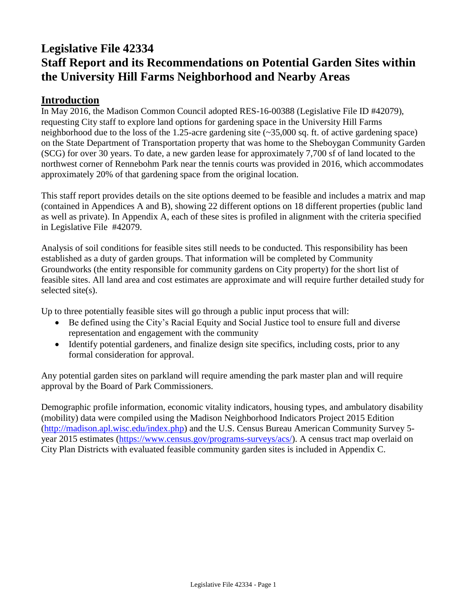# **Legislative File 42334 Staff Report and its Recommendations on Potential Garden Sites within the University Hill Farms Neighborhood and Nearby Areas**

### **Introduction**

In May 2016, the Madison Common Council adopted RES-16-00388 (Legislative File ID #42079), requesting City staff to explore land options for gardening space in the University Hill Farms neighborhood due to the loss of the 1.25-acre gardening site (~35,000 sq. ft. of active gardening space) on the State Department of Transportation property that was home to the Sheboygan Community Garden (SCG) for over 30 years. To date, a new garden lease for approximately 7,700 sf of land located to the northwest corner of Rennebohm Park near the tennis courts was provided in 2016, which accommodates approximately 20% of that gardening space from the original location.

This staff report provides details on the site options deemed to be feasible and includes a matrix and map (contained in Appendices A and B), showing 22 different options on 18 different properties (public land as well as private). In Appendix A, each of these sites is profiled in alignment with the criteria specified in Legislative File #42079.

Analysis of soil conditions for feasible sites still needs to be conducted. This responsibility has been established as a duty of garden groups. That information will be completed by Community Groundworks (the entity responsible for community gardens on City property) for the short list of feasible sites. All land area and cost estimates are approximate and will require further detailed study for selected site(s).

Up to three potentially feasible sites will go through a public input process that will:

- Be defined using the City's Racial Equity and Social Justice tool to ensure full and diverse representation and engagement with the community
- Identify potential gardeners, and finalize design site specifics, including costs, prior to any formal consideration for approval.

Any potential garden sites on parkland will require amending the park master plan and will require approval by the Board of Park Commissioners.

Demographic profile information, economic vitality indicators, housing types, and ambulatory disability (mobility) data were compiled using the Madison Neighborhood Indicators Project 2015 Edition [\(http://madison.apl.wisc.edu/index.php\)](http://madison.apl.wisc.edu/index.php) and the U.S. Census Bureau American Community Survey 5 year 2015 estimates [\(https://www.census.gov/programs-surveys/acs/\)](https://www.census.gov/programs-surveys/acs/). A census tract map overlaid on City Plan Districts with evaluated feasible community garden sites is included in Appendix C.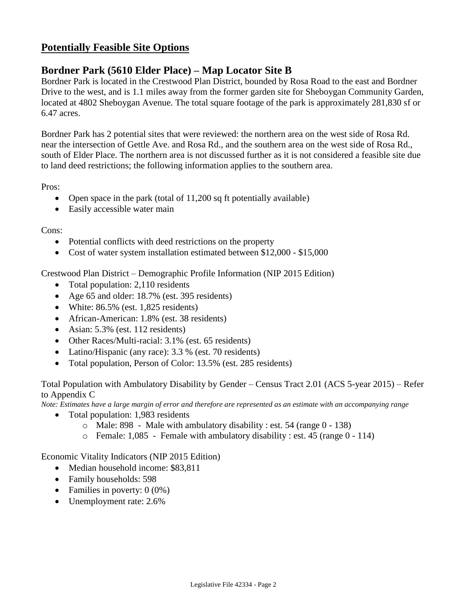# **Potentially Feasible Site Options**

## **Bordner Park (5610 Elder Place) – Map Locator Site B**

Bordner Park is located in the Crestwood Plan District, bounded by Rosa Road to the east and Bordner Drive to the west, and is 1.1 miles away from the former garden site for Sheboygan Community Garden, located at 4802 Sheboygan Avenue. The total square footage of the park is approximately 281,830 sf or 6.47 acres.

Bordner Park has 2 potential sites that were reviewed: the northern area on the west side of Rosa Rd. near the intersection of Gettle Ave. and Rosa Rd., and the southern area on the west side of Rosa Rd., south of Elder Place. The northern area is not discussed further as it is not considered a feasible site due to land deed restrictions; the following information applies to the southern area.

Pros:

- Open space in the park (total of  $11,200$  sq ft potentially available)
- Easily accessible water main

Cons:

- Potential conflicts with deed restrictions on the property
- Cost of water system installation estimated between \$12,000 \$15,000

Crestwood Plan District – Demographic Profile Information (NIP 2015 Edition)

- Total population: 2,110 residents
- Age 65 and older: 18.7% (est. 395 residents)
- White:  $86.5\%$  (est. 1,825 residents)
- African-American: 1.8% (est. 38 residents)
- Asian:  $5.3\%$  (est. 112 residents)
- Other Races/Multi-racial: 3.1% (est. 65 residents)
- Latino/Hispanic (any race): 3.3 % (est. 70 residents)
- Total population, Person of Color: 13.5% (est. 285 residents)

Total Population with Ambulatory Disability by Gender – Census Tract 2.01 (ACS 5-year 2015) – Refer to Appendix C

*Note: Estimates have a large margin of error and therefore are represented as an estimate with an accompanying range*

- Total population: 1,983 residents
	- o Male: 898 Male with ambulatory disability : est. 54 (range 0 138)
	- o Female: 1,085 Female with ambulatory disability : est. 45 (range 0 114)

Economic Vitality Indicators (NIP 2015 Edition)

- Median household income: \$83,811
- Family households: 598
- Families in poverty:  $0(0\%)$
- Unemployment rate: 2.6%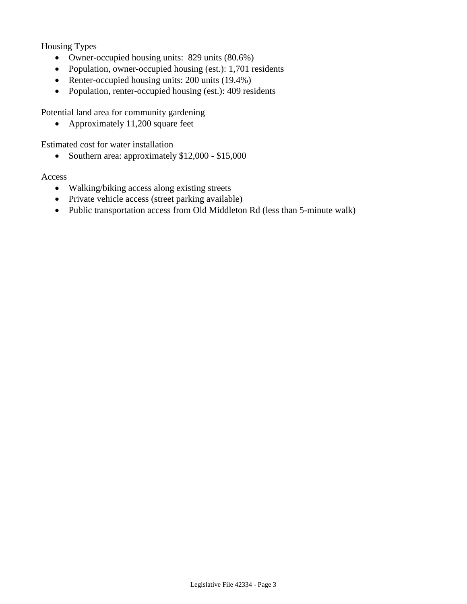Housing Types

- Owner-occupied housing units: 829 units (80.6%)
- Population, owner-occupied housing (est.): 1,701 residents
- Renter-occupied housing units: 200 units (19.4%)
- Population, renter-occupied housing (est.): 409 residents

Potential land area for community gardening

• Approximately 11,200 square feet

Estimated cost for water installation

• Southern area: approximately  $$12,000 - $15,000$ 

#### Access

- Walking/biking access along existing streets
- Private vehicle access (street parking available)
- Public transportation access from Old Middleton Rd (less than 5-minute walk)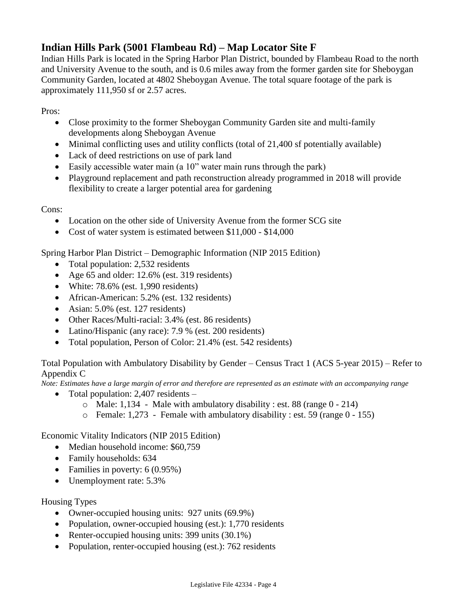# **Indian Hills Park (5001 Flambeau Rd) – Map Locator Site F**

Indian Hills Park is located in the Spring Harbor Plan District, bounded by Flambeau Road to the north and University Avenue to the south, and is 0.6 miles away from the former garden site for Sheboygan Community Garden, located at 4802 Sheboygan Avenue. The total square footage of the park is approximately 111,950 sf or 2.57 acres.

Pros:

- Close proximity to the former Sheboygan Community Garden site and multi-family developments along Sheboygan Avenue
- Minimal conflicting uses and utility conflicts (total of 21,400 sf potentially available)
- Lack of deed restrictions on use of park land
- Easily accessible water main (a 10" water main runs through the park)
- Playground replacement and path reconstruction already programmed in 2018 will provide flexibility to create a larger potential area for gardening

Cons:

- Location on the other side of University Avenue from the former SCG site
- Cost of water system is estimated between \$11,000 \$14,000

Spring Harbor Plan District – Demographic Information (NIP 2015 Edition)

- Total population: 2,532 residents
- Age 65 and older: 12.6% (est. 319 residents)
- White:  $78.6\%$  (est. 1,990 residents)
- African-American: 5.2% (est. 132 residents)
- Asian: 5.0% (est. 127 residents)
- Other Races/Multi-racial: 3.4% (est. 86 residents)
- Latino/Hispanic (any race): 7.9 % (est. 200 residents)
- Total population, Person of Color: 21.4% (est. 542 residents)

Total Population with Ambulatory Disability by Gender – Census Tract 1 (ACS 5-year 2015) – Refer to Appendix C

*Note: Estimates have a large margin of error and therefore are represented as an estimate with an accompanying range*

- Total population: 2,407 residents
	- $\circ$  Male: 1,134 Male with ambulatory disability : est. 88 (range 0 214)
	- o Female: 1,273 Female with ambulatory disability : est. 59 (range 0 155)

Economic Vitality Indicators (NIP 2015 Edition)

- Median household income: \$60,759
- Family households: 634
- Families in poverty: 6 (0.95%)
- Unemployment rate: 5.3%

Housing Types

- Owner-occupied housing units: 927 units (69.9%)
- Population, owner-occupied housing (est.): 1,770 residents
- Renter-occupied housing units: 399 units (30.1%)
- Population, renter-occupied housing (est.): 762 residents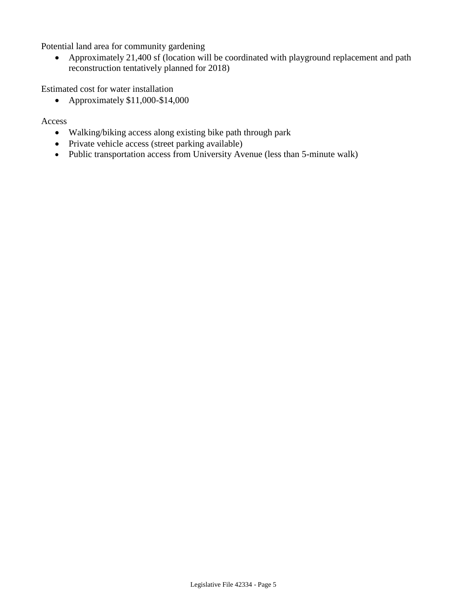Potential land area for community gardening

 Approximately 21,400 sf (location will be coordinated with playground replacement and path reconstruction tentatively planned for 2018)

Estimated cost for water installation

• Approximately  $$11,000-S14,000$ 

Access

- Walking/biking access along existing bike path through park
- Private vehicle access (street parking available)
- Public transportation access from University Avenue (less than 5-minute walk)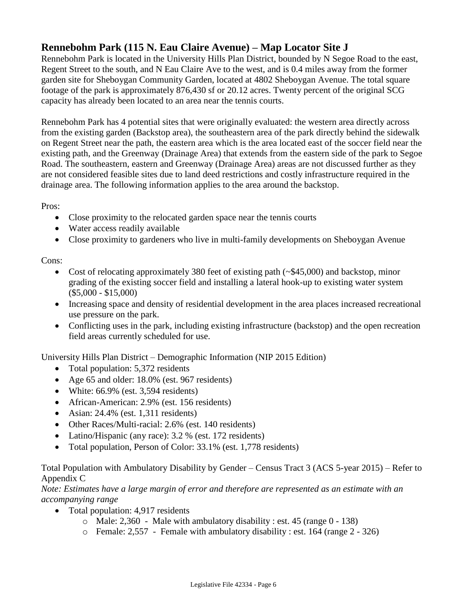# **Rennebohm Park (115 N. Eau Claire Avenue) – Map Locator Site J**

Rennebohm Park is located in the University Hills Plan District, bounded by N Segoe Road to the east, Regent Street to the south, and N Eau Claire Ave to the west, and is 0.4 miles away from the former garden site for Sheboygan Community Garden, located at 4802 Sheboygan Avenue. The total square footage of the park is approximately 876,430 sf or 20.12 acres. Twenty percent of the original SCG capacity has already been located to an area near the tennis courts.

Rennebohm Park has 4 potential sites that were originally evaluated: the western area directly across from the existing garden (Backstop area), the southeastern area of the park directly behind the sidewalk on Regent Street near the path, the eastern area which is the area located east of the soccer field near the existing path, and the Greenway (Drainage Area) that extends from the eastern side of the park to Segoe Road. The southeastern, eastern and Greenway (Drainage Area) areas are not discussed further as they are not considered feasible sites due to land deed restrictions and costly infrastructure required in the drainage area. The following information applies to the area around the backstop.

Pros:

- Close proximity to the relocated garden space near the tennis courts
- Water access readily available
- Close proximity to gardeners who live in multi-family developments on Sheboygan Avenue

Cons:

- Cost of relocating approximately 380 feet of existing path (~\$45,000) and backstop, minor grading of the existing soccer field and installing a lateral hook-up to existing water system (\$5,000 - \$15,000)
- Increasing space and density of residential development in the area places increased recreational use pressure on the park.
- Conflicting uses in the park, including existing infrastructure (backstop) and the open recreation field areas currently scheduled for use.

University Hills Plan District – Demographic Information (NIP 2015 Edition)

- Total population: 5,372 residents
- Age 65 and older: 18.0% (est. 967 residents)
- White:  $66.9\%$  (est. 3,594 residents)
- African-American: 2.9% (est. 156 residents)
- Asian:  $24.4\%$  (est. 1,311 residents)
- Other Races/Multi-racial: 2.6% (est. 140 residents)
- Latino/Hispanic (any race): 3.2 % (est. 172 residents)
- Total population, Person of Color: 33.1% (est. 1,778 residents)

#### Total Population with Ambulatory Disability by Gender – Census Tract 3 (ACS 5-year 2015) – Refer to Appendix C

*Note: Estimates have a large margin of error and therefore are represented as an estimate with an accompanying range*

- Total population: 4,917 residents
	- $\circ$  Male: 2,360 Male with ambulatory disability : est. 45 (range 0 138)
	- o Female: 2,557 Female with ambulatory disability : est. 164 (range 2 326)